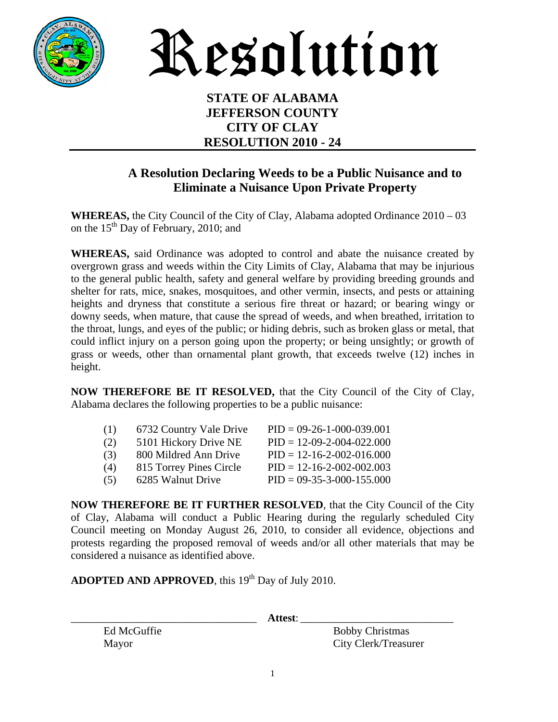

Resolution

## **STATE OF ALABAMA JEFFERSON COUNTY CITY OF CLAY RESOLUTION 2010 - 24**

## **A Resolution Declaring Weeds to be a Public Nuisance and to Eliminate a Nuisance Upon Private Property**

**WHEREAS,** the City Council of the City of Clay, Alabama adopted Ordinance 2010 – 03 on the  $15<sup>th</sup>$  Day of February, 2010; and

**WHEREAS,** said Ordinance was adopted to control and abate the nuisance created by overgrown grass and weeds within the City Limits of Clay, Alabama that may be injurious to the general public health, safety and general welfare by providing breeding grounds and shelter for rats, mice, snakes, mosquitoes, and other vermin, insects, and pests or attaining heights and dryness that constitute a serious fire threat or hazard; or bearing wingy or downy seeds, when mature, that cause the spread of weeds, and when breathed, irritation to the throat, lungs, and eyes of the public; or hiding debris, such as broken glass or metal, that could inflict injury on a person going upon the property; or being unsightly; or growth of grass or weeds, other than ornamental plant growth, that exceeds twelve (12) inches in height.

**NOW THEREFORE BE IT RESOLVED,** that the City Council of the City of Clay, Alabama declares the following properties to be a public nuisance:

| (1) | 6732 Country Vale Drive | $PID = 09-26-1-000-039.001$         |
|-----|-------------------------|-------------------------------------|
| (2) | 5101 Hickory Drive NE   | $PID = 12-09-2-004-022.000$         |
| (3) | 800 Mildred Ann Drive   | $PID = 12 - 16 - 2 - 002 - 016,000$ |
| (4) | 815 Torrey Pines Circle | $PID = 12 - 16 - 2 - 002 - 002.003$ |
| (5) | 6285 Walnut Drive       | $PID = 09-35-3-000-155.000$         |

**NOW THEREFORE BE IT FURTHER RESOLVED**, that the City Council of the City of Clay, Alabama will conduct a Public Hearing during the regularly scheduled City Council meeting on Monday August 26, 2010, to consider all evidence, objections and protests regarding the proposed removal of weeds and/or all other materials that may be considered a nuisance as identified above.

**ADOPTED AND APPROVED**, this 19<sup>th</sup> Day of July 2010.

\_\_\_\_\_\_\_\_\_\_\_\_\_\_\_\_\_\_\_\_\_\_\_\_\_\_\_\_\_\_\_\_\_\_ **Attest**: \_\_\_\_\_\_\_\_\_\_\_\_\_\_\_\_\_\_\_\_\_\_\_\_\_\_\_\_

Ed McGuffie Bobby Christmas Mayor City Clerk/Treasurer